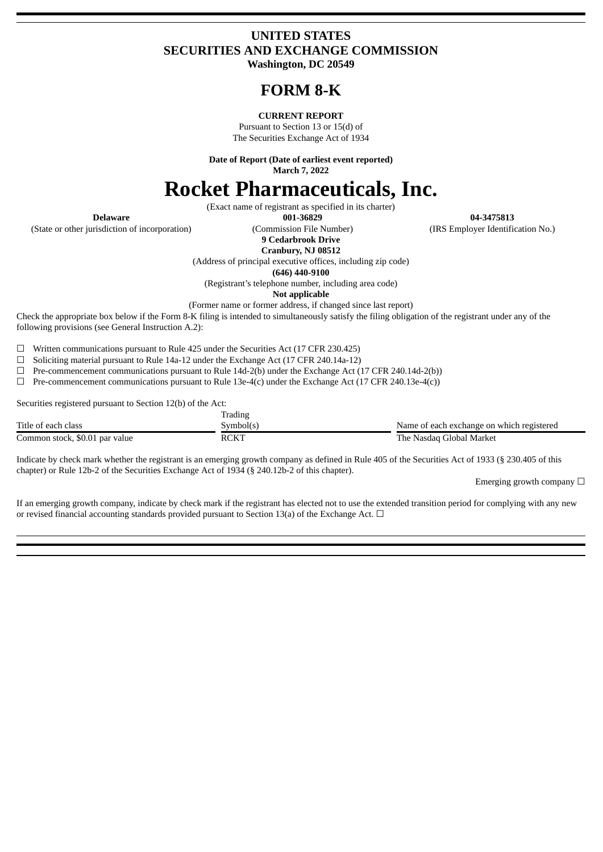# **UNITED STATES SECURITIES AND EXCHANGE COMMISSION Washington, DC 20549**

# **FORM 8-K**

#### **CURRENT REPORT**

Pursuant to Section 13 or 15(d) of The Securities Exchange Act of 1934

**Date of Report (Date of earliest event reported) March 7, 2022**

# **Rocket Pharmaceuticals, Inc.**

(Exact name of registrant as specified in its charter)

(State or other jurisdiction of incorporation) (Commission File Number) (IRS Employer Identification No.)

**9 Cedarbrook Drive**

**Cranbury, NJ 08512**

**Delaware 001-36829 04-3475813**

(Address of principal executive offices, including zip code)

**(646) 440-9100**

(Registrant's telephone number, including area code)

**Not applicable**

(Former name or former address, if changed since last report)

Check the appropriate box below if the Form 8-K filing is intended to simultaneously satisfy the filing obligation of the registrant under any of the following provisions (see General Instruction A.2):

☐ Written communications pursuant to Rule 425 under the Securities Act (17 CFR 230.425)

☐ Soliciting material pursuant to Rule 14a-12 under the Exchange Act (17 CFR 240.14a-12)

 $\Box$  Pre-commencement communications pursuant to Rule 14d-2(b) under the Exchange Act (17 CFR 240.14d-2(b))

☐ Pre-commencement communications pursuant to Rule 13e-4(c) under the Exchange Act (17 CFR 240.13e-4(c))

Securities registered pursuant to Section 12(b) of the Act:

|                                | Trading     |                                           |
|--------------------------------|-------------|-------------------------------------------|
| Title of each class            | Symbol(s)   | Name of each exchange on which registered |
| Common stock, \$0.01 par value | <b>RCKT</b> | The Nasdag Global Market                  |

Indicate by check mark whether the registrant is an emerging growth company as defined in Rule 405 of the Securities Act of 1933 (§ 230.405 of this chapter) or Rule 12b-2 of the Securities Exchange Act of 1934 (§ 240.12b-2 of this chapter).

Emerging growth company  $\Box$ 

If an emerging growth company, indicate by check mark if the registrant has elected not to use the extended transition period for complying with any new or revised financial accounting standards provided pursuant to Section 13(a) of the Exchange Act.  $\Box$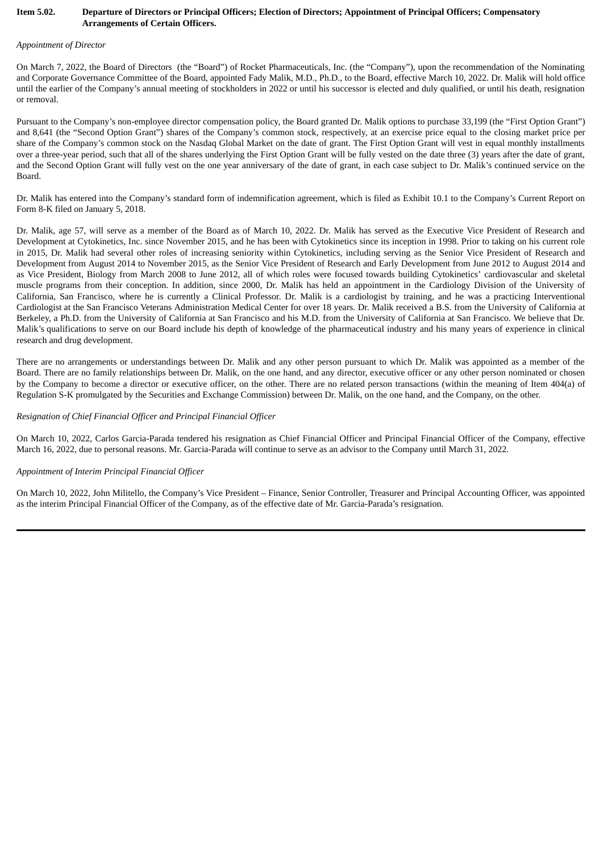#### Item 5.02. Departure of Directors or Principal Officers; Election of Directors; Appointment of Principal Officers; Compensatory **Arrangements of Certain Officers.**

#### *Appointment of Director*

On March 7, 2022, the Board of Directors (the "Board") of Rocket Pharmaceuticals, Inc. (the "Company"), upon the recommendation of the Nominating and Corporate Governance Committee of the Board, appointed Fady Malik, M.D., Ph.D., to the Board, effective March 10, 2022. Dr. Malik will hold office until the earlier of the Company's annual meeting of stockholders in 2022 or until his successor is elected and duly qualified, or until his death, resignation or removal.

Pursuant to the Company's non-employee director compensation policy, the Board granted Dr. Malik options to purchase 33,199 (the "First Option Grant") and 8,641 (the "Second Option Grant") shares of the Company's common stock, respectively, at an exercise price equal to the closing market price per share of the Company's common stock on the Nasdaq Global Market on the date of grant. The First Option Grant will vest in equal monthly installments over a three-year period, such that all of the shares underlying the First Option Grant will be fully vested on the date three (3) years after the date of grant, and the Second Option Grant will fully vest on the one year anniversary of the date of grant, in each case subject to Dr. Malik's continued service on the Board.

Dr. Malik has entered into the Company's standard form of indemnification agreement, which is filed as Exhibit 10.1 to the Company's Current Report on Form 8-K filed on January 5, 2018.

Dr. Malik, age 57, will serve as a member of the Board as of March 10, 2022. Dr. Malik has served as the Executive Vice President of Research and Development at Cytokinetics, Inc. since November 2015, and he has been with Cytokinetics since its inception in 1998. Prior to taking on his current role in 2015, Dr. Malik had several other roles of increasing seniority within Cytokinetics, including serving as the Senior Vice President of Research and Development from August 2014 to November 2015, as the Senior Vice President of Research and Early Development from June 2012 to August 2014 and as Vice President, Biology from March 2008 to June 2012, all of which roles were focused towards building Cytokinetics' cardiovascular and skeletal muscle programs from their conception. In addition, since 2000, Dr. Malik has held an appointment in the Cardiology Division of the University of California, San Francisco, where he is currently a Clinical Professor. Dr. Malik is a cardiologist by training, and he was a practicing Interventional Cardiologist at the San Francisco Veterans Administration Medical Center for over 18 years. Dr. Malik received a B.S. from the University of California at Berkeley, a Ph.D. from the University of California at San Francisco and his M.D. from the University of California at San Francisco. We believe that Dr. Malik's qualifications to serve on our Board include his depth of knowledge of the pharmaceutical industry and his many years of experience in clinical research and drug development.

There are no arrangements or understandings between Dr. Malik and any other person pursuant to which Dr. Malik was appointed as a member of the Board. There are no family relationships between Dr. Malik, on the one hand, and any director, executive officer or any other person nominated or chosen by the Company to become a director or executive officer, on the other. There are no related person transactions (within the meaning of Item 404(a) of Regulation S-K promulgated by the Securities and Exchange Commission) between Dr. Malik, on the one hand, and the Company, on the other.

#### *Resignation of Chief Financial Officer and Principal Financial Officer*

On March 10, 2022, Carlos Garcia-Parada tendered his resignation as Chief Financial Officer and Principal Financial Officer of the Company, effective March 16, 2022, due to personal reasons. Mr. Garcia-Parada will continue to serve as an advisor to the Company until March 31, 2022.

#### *Appointment of Interim Principal Financial Officer*

On March 10, 2022, John Militello, the Company's Vice President – Finance, Senior Controller, Treasurer and Principal Accounting Officer, was appointed as the interim Principal Financial Officer of the Company, as of the effective date of Mr. Garcia-Parada's resignation.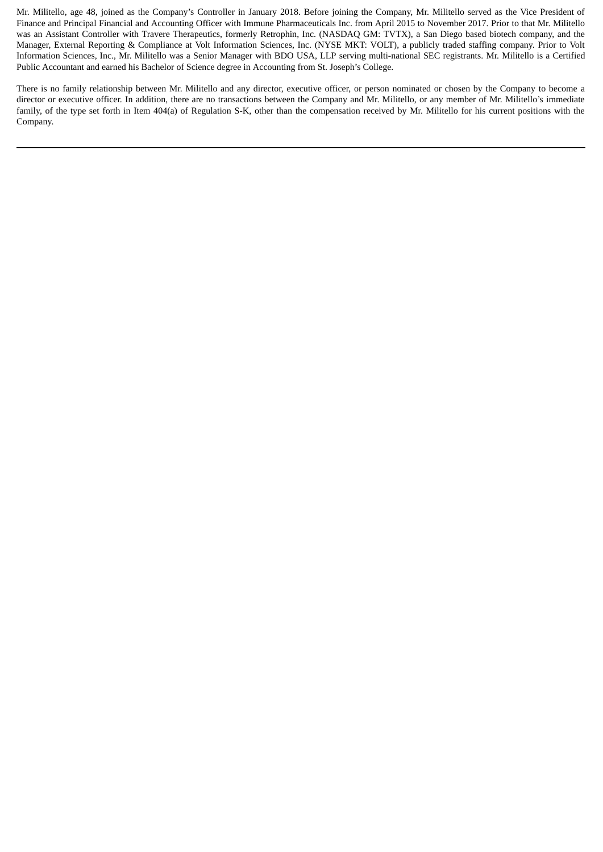Mr. Militello, age 48, joined as the Company's Controller in January 2018. Before joining the Company, Mr. Militello served as the Vice President of Finance and Principal Financial and Accounting Officer with Immune Pharmaceuticals Inc. from April 2015 to November 2017. Prior to that Mr. Militello was an Assistant Controller with Travere Therapeutics, formerly Retrophin, Inc. (NASDAQ GM: TVTX), a San Diego based biotech company, and the Manager, External Reporting & Compliance at Volt Information Sciences, Inc. (NYSE MKT: VOLT), a publicly traded staffing company. Prior to Volt Information Sciences, Inc., Mr. Militello was a Senior Manager with BDO USA, LLP serving multi-national SEC registrants. Mr. Militello is a Certified Public Accountant and earned his Bachelor of Science degree in Accounting from St. Joseph's College.

There is no family relationship between Mr. Militello and any director, executive officer, or person nominated or chosen by the Company to become a director or executive officer. In addition, there are no transactions between the Company and Mr. Militello, or any member of Mr. Militello's immediate family, of the type set forth in Item 404(a) of Regulation S-K, other than the compensation received by Mr. Militello for his current positions with the Company.